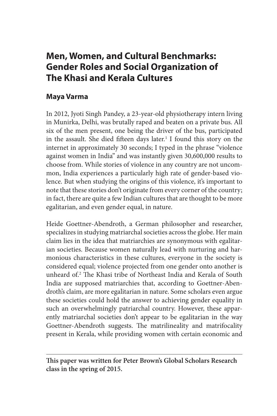# **Men, Women, and Cultural Benchmarks: Gender Roles and Social Organization of The Khasi and Kerala Cultures**

# **Maya Varma**

In 2012, Jyoti Singh Pandey, a 23-year-old physiotherapy intern living in Munirka, Delhi, was brutally raped and beaten on a private bus. All six of the men present, one being the driver of the bus, participated in the assault. She died fifteen days later.<sup>1</sup> I found this story on the internet in approximately 30 seconds; I typed in the phrase "violence against women in India" and was instantly given 30,600,000 results to choose from. While stories of violence in any country are not uncommon, India experiences a particularly high rate of gender-based violence. But when studying the origins of this violence, it's important to note that these stories don't originate from every corner of the country; in fact, there are quite a few Indian cultures that are thought to be more egalitarian, and even gender equal, in nature.

Heide Goettner-Abendroth, a German philosopher and researcher, specializes in studying matriarchal societies across the globe. Her main claim lies in the idea that matriarchies are synonymous with egalitarian societies. Because women naturally lead with nurturing and harmonious characteristics in these cultures, everyone in the society is considered equal; violence projected from one gender onto another is unheard of.2 The Khasi tribe of Northeast India and Kerala of South India are supposed matriarchies that, according to Goettner-Abendroth's claim, are more egalitarian in nature. Some scholars even argue these societies could hold the answer to achieving gender equality in such an overwhelmingly patriarchal country. However, these apparently matriarchal societies don't appear to be egalitarian in the way Goettner-Abendroth suggests. The matrilineality and matrifocality present in Kerala, while providing women with certain economic and

**This paper was written for Peter Brown's Global Scholars Research class in the spring of 2015.**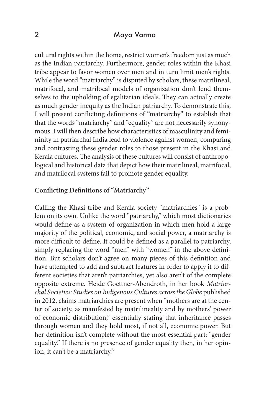cultural rights within the home, restrict women's freedom just as much as the Indian patriarchy. Furthermore, gender roles within the Khasi tribe appear to favor women over men and in turn limit men's rights. While the word "matriarchy" is disputed by scholars, these matrilineal, matrifocal, and matrilocal models of organization don't lend themselves to the upholding of egalitarian ideals. They can actually create as much gender inequity as the Indian patriarchy. To demonstrate this, I will present conflicting definitions of "matriarchy" to establish that that the words "matriarchy" and "equality" are not necessarily synonymous. I will then describe how characteristics of masculinity and femininity in patriarchal India lead to violence against women, comparing and contrasting these gender roles to those present in the Khasi and Kerala cultures. The analysis of these cultures will consist of anthropological and historical data that depict how their matrilineal, matrifocal, and matrilocal systems fail to promote gender equality.

## **Conflicting Definitions of "Matriarchy"**

Calling the Khasi tribe and Kerala society "matriarchies" is a problem on its own. Unlike the word "patriarchy," which most dictionaries would define as a system of organization in which men hold a large majority of the political, economic, and social power, a matriarchy is more difficult to define. It could be defined as a parallel to patriarchy, simply replacing the word "men" with "women" in the above definition. But scholars don't agree on many pieces of this definition and have attempted to add and subtract features in order to apply it to different societies that aren't patriarchies, yet also aren't of the complete opposite extreme. Heide Goettner-Abendroth, in her book *Matriarchal Societies: Studies on Indigenous Cultures across the Globe* published in 2012, claims matriarchies are present when "mothers are at the center of society, as manifested by matrilineality and by mothers' power of economic distribution," essentially stating that inheritance passes through women and they hold most, if not all, economic power. But her definition isn't complete without the most essential part: "gender equality." If there is no presence of gender equality then, in her opinion, it can't be a matriarchy.<sup>3</sup>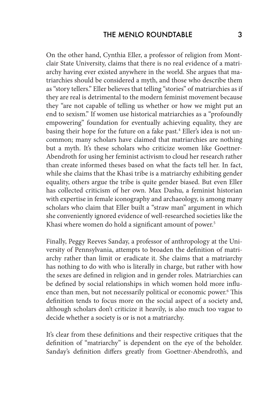On the other hand, Cynthia Eller, a professor of religion from Montclair State University, claims that there is no real evidence of a matriarchy having ever existed anywhere in the world. She argues that matriarchies should be considered a myth, and those who describe them as "story tellers." Eller believes that telling "stories" of matriarchies as if they are real is detrimental to the modern feminist movement because they "are not capable of telling us whether or how we might put an end to sexism." If women use historical matriarchies as a "profoundly empowering" foundation for eventually achieving equality, they are basing their hope for the future on a fake past.<sup>4</sup> Eller's idea is not uncommon; many scholars have claimed that matriarchies are nothing but a myth. It's these scholars who criticize women like Goettner-Abendroth for using her feminist activism to cloud her research rather than create informed theses based on what the facts tell her. In fact, while she claims that the Khasi tribe is a matriarchy exhibiting gender equality, others argue the tribe is quite gender biased. But even Eller has collected criticism of her own. Max Dashu, a feminist historian with expertise in female iconography and archaeology, is among many scholars who claim that Eller built a "straw man" argument in which she conveniently ignored evidence of well-researched societies like the Khasi where women do hold a significant amount of power.<sup>5</sup>

Finally, Peggy Reeves Sanday, a professor of anthropology at the University of Pennsylvania, attempts to broaden the definition of matriarchy rather than limit or eradicate it. She claims that a matriarchy has nothing to do with who is literally in charge, but rather with how the sexes are defined in religion and in gender roles. Matriarchies can be defined by social relationships in which women hold more influence than men, but not necessarily political or economic power.<sup>6</sup> This definition tends to focus more on the social aspect of a society and, although scholars don't criticize it heavily, is also much too vague to decide whether a society is or is not a matriarchy.

It's clear from these definitions and their respective critiques that the definition of "matriarchy" is dependent on the eye of the beholder. Sanday's definition differs greatly from Goettner-Abendroth's, and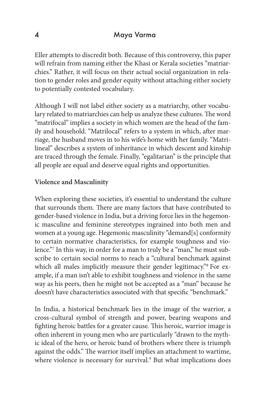Eller attempts to discredit both. Because of this controversy, this paper will refrain from naming either the Khasi or Kerala societies "matriarchies." Rather, it will focus on their actual social organization in relation to gender roles and gender equity without attaching either society to potentially contested vocabulary.

Although I will not label either society as a matriarchy, other vocabulary related to matriarchies can help us analyze these cultures. The word "matrifocal" implies a society in which women are the head of the family and household. "Matrilocal" refers to a system in which, after marriage, the husband moves in to his wife's home with her family. "Matrilineal" describes a system of inheritance in which descent and kinship are traced through the female. Finally, "egalitarian" is the principle that all people are equal and deserve equal rights and opportunities.

#### **Violence and Masculinity**

When exploring these societies, it's essential to understand the culture that surrounds them. There are many factors that have contributed to gender-based violence in India, but a driving force lies in the hegemonic masculine and feminine stereotypes ingrained into both men and women at a young age. Hegemonic masculinity "demand[s] conformity to certain normative characteristics, for example toughness and violence."7 In this way, in order for a man to truly be a "man," he must subscribe to certain social norms to reach a "cultural benchmark against which all males implicitly measure their gender legitimacy."<sup>8</sup> For example, if a man isn't able to exhibit toughness and violence in the same way as his peers, then he might not be accepted as a "man" because he doesn't have characteristics associated with that specific "benchmark."

In India, a historical benchmark lies in the image of the warrior, a cross-cultural symbol of strength and power, bearing weapons and fighting heroic battles for a greater cause. This heroic, warrior image is often inherent in young men who are particularly "drawn to the mythic ideal of the hero, or heroic band of brothers where there is triumph against the odds." The warrior itself implies an attachment to wartime, where violence is necessary for survival.<sup>9</sup> But what implications does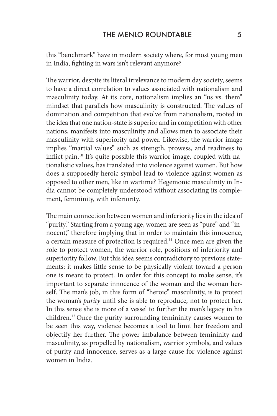this "benchmark" have in modern society where, for most young men in India, fighting in wars isn't relevant anymore?

The warrior, despite its literal irrelevance to modern day society, seems to have a direct correlation to values associated with nationalism and masculinity today. At its core, nationalism implies an "us vs. them" mindset that parallels how masculinity is constructed. The values of domination and competition that evolve from nationalism, rooted in the idea that one nation-state is superior and in competition with other nations, manifests into masculinity and allows men to associate their masculinity with superiority and power. Likewise, the warrior image implies "martial values" such as strength, prowess, and readiness to inflict pain.10 It's quite possible this warrior image, coupled with nationalistic values, has translated into violence against women. But how does a supposedly heroic symbol lead to violence against women as opposed to other men, like in wartime? Hegemonic masculinity in India cannot be completely understood without associating its complement, femininity, with inferiority.

The main connection between women and inferiority lies in the idea of "purity." Starting from a young age, women are seen as "pure" and "innocent," therefore implying that in order to maintain this innocence, a certain measure of protection is required.<sup>11</sup> Once men are given the role to protect women, the warrior role, positions of inferiority and superiority follow. But this idea seems contradictory to previous statements; it makes little sense to be physically violent toward a person one is meant to protect. In order for this concept to make sense, it's important to separate innocence of the woman and the woman herself. The man's job, in this form of "heroic" masculinity, is to protect the woman's *purity* until she is able to reproduce, not to protect her. In this sense she is more of a vessel to further the man's legacy in his children.12 Once the purity surrounding femininity causes women to be seen this way, violence becomes a tool to limit her freedom and objectify her further. The power imbalance between femininity and masculinity, as propelled by nationalism, warrior symbols, and values of purity and innocence, serves as a large cause for violence against women in India.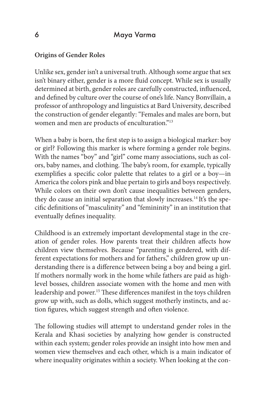# **Origins of Gender Roles**

Unlike sex, gender isn't a universal truth. Although some argue that sex isn't binary either, gender is a more fluid concept. While sex is usually determined at birth, gender roles are carefully constructed, influenced, and defined by culture over the course of one's life. Nancy Bonvillain, a professor of anthropology and linguistics at Bard University, described the construction of gender elegantly: "Females and males are born, but women and men are products of enculturation."13

When a baby is born, the first step is to assign a biological marker: boy or girl? Following this marker is where forming a gender role begins. With the names "boy" and "girl" come many associations, such as colors, baby names, and clothing. The baby's room, for example, typically exemplifies a specific color palette that relates to a girl or a boy—in America the colors pink and blue pertain to girls and boys respectively. While colors on their own don't cause inequalities between genders, they do cause an initial separation that slowly increases.<sup>14</sup> It's the specific definitions of "masculinity" and "femininity" in an institution that eventually defines inequality.

Childhood is an extremely important developmental stage in the creation of gender roles. How parents treat their children affects how children view themselves. Because "parenting is gendered, with different expectations for mothers and for fathers," children grow up understanding there is a difference between being a boy and being a girl. If mothers normally work in the home while fathers are paid as highlevel bosses, children associate women with the home and men with leadership and power.15 These differences manifest in the toys children grow up with, such as dolls, which suggest motherly instincts, and action figures, which suggest strength and often violence.

The following studies will attempt to understand gender roles in the Kerala and Khasi societies by analyzing how gender is constructed within each system; gender roles provide an insight into how men and women view themselves and each other, which is a main indicator of where inequality originates within a society. When looking at the con-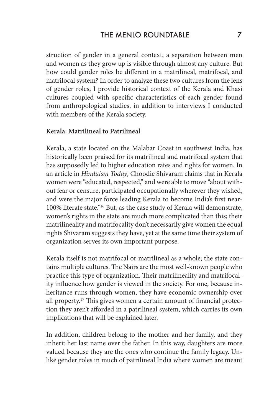# THE MENLO ROUNDTABLE 7

struction of gender in a general context, a separation between men and women as they grow up is visible through almost any culture. But how could gender roles be different in a matrilineal, matrifocal, and matrilocal system? In order to analyze these two cultures from the lens of gender roles, I provide historical context of the Kerala and Khasi cultures coupled with specific characteristics of each gender found from anthropological studies, in addition to interviews I conducted with members of the Kerala society.

#### **Kerala: Matrilineal to Patrilineal**

Kerala, a state located on the Malabar Coast in southwest India, has historically been praised for its matrilineal and matrifocal system that has supposedly led to higher education rates and rights for women. In an article in *Hinduism Today*, Choodie Shivaram claims that in Kerala women were "educated, respected," and were able to move "about without fear or censure, participated occupationally wherever they wished, and were the major force leading Kerala to become India's first near-100% literate state."16 But, as the case study of Kerala will demonstrate, women's rights in the state are much more complicated than this; their matrilineality and matrifocality don't necessarily give women the equal rights Shivaram suggests they have, yet at the same time their system of organization serves its own important purpose.

Kerala itself is not matrifocal or matrilineal as a whole; the state contains multiple cultures. The Nairs are the most well-known people who practice this type of organization. Their matrilineality and matrifocality influence how gender is viewed in the society. For one, because inheritance runs through women, they have economic ownership over all property.17 This gives women a certain amount of financial protection they aren't afforded in a patrilineal system, which carries its own implications that will be explained later.

In addition, children belong to the mother and her family, and they inherit her last name over the father. In this way, daughters are more valued because they are the ones who continue the family legacy. Unlike gender roles in much of patrilineal India where women are meant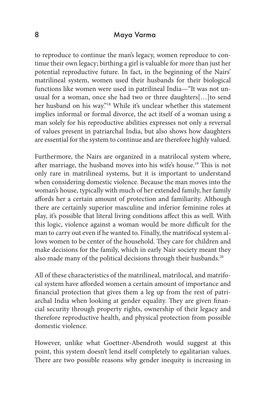to reproduce to continue the man's legacy, women reproduce to continue their own legacy; birthing a girl is valuable for more than just her potential reproductive future. In fact, in the beginning of the Nairs' matrilineal system, women used their husbands for their biological functions like women were used in patrilineal India—"It was not unusual for a woman, once she had two or three daughters[…]to send her husband on his way."18 While it's unclear whether this statement implies informal or formal divorce, the act itself of a woman using a man solely for his reproductive abilities expresses not only a reversal of values present in patriarchal India, but also shows how daughters are essential for the system to continue and are therefore highly valued.

Furthermore, the Nairs are organized in a matrilocal system where, after marriage, the husband moves into his wife's house.<sup>19</sup> This is not only rare in matrilineal systems, but it is important to understand when considering domestic violence. Because the man moves into the woman's house, typically with much of her extended family, her family affords her a certain amount of protection and familiarity. Although there are certainly superior masculine and inferior feminine roles at play, it's possible that literal living conditions affect this as well. With this logic, violence against a woman would be more difficult for the man to carry out even if he wanted to. Finally, the matrifocal system allows women to be center of the household. They care for children and make decisions for the family, which in early Nair society meant they also made many of the political decisions through their husbands.<sup>20</sup>

All of these characteristics of the matrilineal, matrilocal, and matrifocal system have afforded women a certain amount of importance and financial protection that gives them a leg up from the rest of patriarchal India when looking at gender equality. They are given financial security through property rights, ownership of their legacy and therefore reproductive health, and physical protection from possible domestic violence.

However, unlike what Goettner-Abendroth would suggest at this point, this system doesn't lend itself completely to egalitarian values. There are two possible reasons why gender inequity is increasing in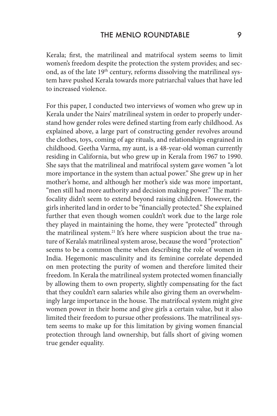Kerala; first, the matrilineal and matrifocal system seems to limit women's freedom despite the protection the system provides; and second, as of the late 19<sup>th</sup> century, reforms dissolving the matrilineal system have pushed Kerala towards more patriarchal values that have led to increased violence.

For this paper, I conducted two interviews of women who grew up in Kerala under the Nairs' matrilineal system in order to properly understand how gender roles were defined starting from early childhood. As explained above, a large part of constructing gender revolves around the clothes, toys, coming of age rituals, and relationships engrained in childhood. Geetha Varma, my aunt, is a 48-year-old woman currently residing in California, but who grew up in Kerala from 1967 to 1990. She says that the matrilineal and matrifocal system gave women "a lot more importance in the system than actual power." She grew up in her mother's home, and although her mother's side was more important, "men still had more authority and decision making power." The matrifocality didn't seem to extend beyond raising children. However, the girls inherited land in order to be "financially protected." She explained further that even though women couldn't work due to the large role they played in maintaining the home, they were "protected" through the matrilineal system.<sup>21</sup> It's here where suspicion about the true nature of Kerala's matrilineal system arose, because the word "protection" seems to be a common theme when describing the role of women in India. Hegemonic masculinity and its feminine correlate depended on men protecting the purity of women and therefore limited their freedom. In Kerala the matrilineal system protected women financially by allowing them to own property, slightly compensating for the fact that they couldn't earn salaries while also giving them an overwhelmingly large importance in the house. The matrifocal system might give women power in their home and give girls a certain value, but it also limited their freedom to pursue other professions. The matrilineal system seems to make up for this limitation by giving women financial protection through land ownership, but falls short of giving women true gender equality.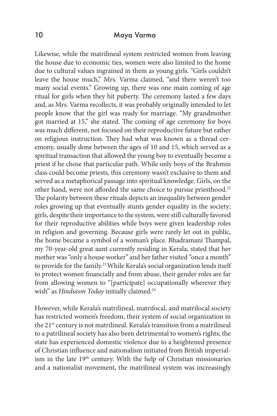Likewise, while the matrilineal system restricted women from leaving the house due to economic ties, women were also limited to the home due to cultural values ingrained in them as young girls. "Girls couldn't leave the house much," Mrs. Varma claimed, "and there weren't too many social events." Growing up, there was one main coming of age ritual for girls when they hit puberty. The ceremony lasted a few days and, as Mrs. Varma recollects, it was probably originally intended to let people know that the girl was ready for marriage. "My grandmother got married at 15," she stated. The coming of age ceremony for boys was much different, not focused on their reproductive future but rather on religious instruction. They had what was known as a thread ceremony, usually done between the ages of 10 and 15, which served as a spiritual transaction that allowed the young boy to eventually become a priest if he chose that particular path. While only boys of the Brahmin class could become priests, this ceremony wasn't exclusive to them and served as a metaphorical passage into spiritual knowledge. Girls, on the other hand, were not afforded the same choice to pursue priesthood.<sup>22</sup> The polarity between these rituals depicts an inequality between gender roles growing up that eventually stunts gender equality in the society; girls, despite their importance to the system, were still culturally favored for their reproductive abilities while boys were given leadership roles in religion and governing. Because girls were rarely let out in public, the home became a symbol of a woman's place. Bhadramani Thampal, my 70-year-old great aunt currently residing in Kerala, stated that her mother was "only a house worker" and her father visited "once a month" to provide for the family.<sup>23</sup> While Kerala's social organization lends itself to protect women financially and from abuse, their gender roles are far from allowing women to "[participate] occupationally wherever they wish" as *Hinduism Today* initially claimed.<sup>24</sup>

However, while Kerala's matrilineal, matrifocal, and matrilocal society has restricted women's freedom, their system of social organization in the 21<sup>st</sup> century is not matrilineal. Kerala's transition from a matrilineal to a patrilineal society has also been detrimental to women's rights; the state has experienced domestic violence due to a heightened presence of Christian influence and nationalism initiated from British imperialism in the late 19<sup>th</sup> century. With the help of Christian missionaries and a nationalist movement, the matrilineal system was increasingly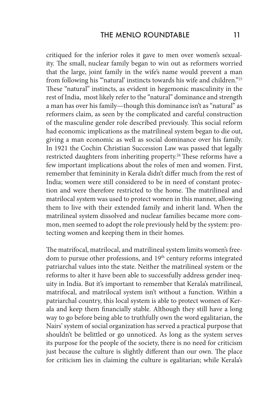critiqued for the inferior roles it gave to men over women's sexuality. The small, nuclear family began to win out as reformers worried that the large, joint family in the wife's name would prevent a man from following his ""natural' instincts towards his wife and children."<sup>25</sup> These "natural" instincts, as evident in hegemonic masculinity in the rest of India, most likely refer to the "natural" dominance and strength a man has over his family—though this dominance isn't as "natural" as reformers claim, as seen by the complicated and careful construction of the masculine gender role described previously. This social reform had economic implications as the matrilineal system began to die out, giving a man economic as well as social dominance over his family. In 1921 the Cochin Christian Succession Law was passed that legally restricted daughters from inheriting property.<sup>26</sup> These reforms have a few important implications about the roles of men and women. First, remember that femininity in Kerala didn't differ much from the rest of India; women were still considered to be in need of constant protection and were therefore restricted to the home. The matrilineal and matrilocal system was used to protect women in this manner, allowing them to live with their extended family and inherit land. When the matrilineal system dissolved and nuclear families became more common, men seemed to adopt the role previously held by the system: protecting women and keeping them in their homes.

The matrifocal, matrilocal, and matrilineal system limits women's freedom to pursue other professions, and 19<sup>th</sup> century reforms integrated patriarchal values into the state. Neither the matrilineal system or the reforms to alter it have been able to successfully address gender inequity in India. But it's important to remember that Kerala's matrilineal, matrifocal, and matrilocal system isn't without a function. Within a patriarchal country, this local system is able to protect women of Kerala and keep them financially stable. Although they still have a long way to go before being able to truthfully own the word egalitarian, the Nairs' system of social organization has served a practical purpose that shouldn't be belittled or go unnoticed. As long as the system serves its purpose for the people of the society, there is no need for criticism just because the culture is slightly different than our own. The place for criticism lies in claiming the culture is egalitarian; while Kerala's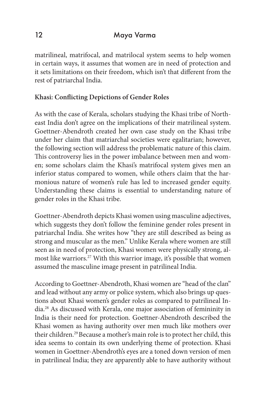matrilineal, matrifocal, and matrilocal system seems to help women in certain ways, it assumes that women are in need of protection and it sets limitations on their freedom, which isn't that different from the rest of patriarchal India.

# **Khasi: Conflicting Depictions of Gender Roles**

As with the case of Kerala, scholars studying the Khasi tribe of Northeast India don't agree on the implications of their matrilineal system. Goettner-Abendroth created her own case study on the Khasi tribe under her claim that matriarchal societies were egalitarian; however, the following section will address the problematic nature of this claim. This controversy lies in the power imbalance between men and women; some scholars claim the Khasi's matrifocal system gives men an inferior status compared to women, while others claim that the harmonious nature of women's rule has led to increased gender equity. Understanding these claims is essential to understanding nature of gender roles in the Khasi tribe.

Goettner-Abendroth depicts Khasi women using masculine adjectives, which suggests they don't follow the feminine gender roles present in patriarchal India. She writes how "they are still described as being as strong and muscular as the men." Unlike Kerala where women are still seen as in need of protection, Khasi women were physically strong, almost like warriors.<sup>27</sup> With this warrior image, it's possible that women assumed the masculine image present in patrilineal India.

According to Goettner-Abendroth, Khasi women are "head of the clan" and lead without any army or police system, which also brings up questions about Khasi women's gender roles as compared to patrilineal India.28 As discussed with Kerala, one major association of femininity in India is their need for protection. Goettner-Abendroth described the Khasi women as having authority over men much like mothers over their children.29 Because a mother's main role is to protect her child, this idea seems to contain its own underlying theme of protection. Khasi women in Goettner-Abendroth's eyes are a toned down version of men in patrilineal India; they are apparently able to have authority without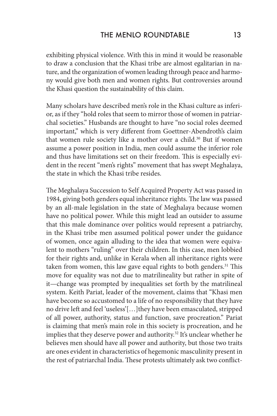exhibiting physical violence. With this in mind it would be reasonable to draw a conclusion that the Khasi tribe are almost egalitarian in nature, and the organization of women leading through peace and harmony would give both men and women rights. But controversies around the Khasi question the sustainability of this claim.

Many scholars have described men's role in the Khasi culture as inferior, as if they "hold roles that seem to mirror those of women in patriarchal societies." Husbands are thought to have "no social roles deemed important," which is very different from Goettner-Abendroth's claim that women rule society like a mother over a child.<sup>30</sup> But if women assume a power position in India, men could assume the inferior role and thus have limitations set on their freedom. This is especially evident in the recent "men's rights" movement that has swept Meghalaya, the state in which the Khasi tribe resides.

The Meghalaya Succession to Self Acquired Property Act was passed in 1984, giving both genders equal inheritance rights. The law was passed by an all-male legislation in the state of Meghalaya because women have no political power. While this might lead an outsider to assume that this male dominance over politics would represent a patriarchy, in the Khasi tribe men assumed political power under the guidance of women, once again alluding to the idea that women were equivalent to mothers "ruling" over their children. In this case, men lobbied for their rights and, unlike in Kerala when all inheritance rights were taken from women, this law gave equal rights to both genders.<sup>31</sup> This move for equality was not due to matrilineality but rather in spite of it—change was prompted by inequalities set forth by the matrilineal system. Keith Pariat, leader of the movement, claims that "Khasi men have become so accustomed to a life of no responsibility that they have no drive left and feel 'useless'[…]they have been emasculated, stripped of all power, authority, status and function, save procreation." Pariat is claiming that men's main role in this society is procreation, and he implies that they deserve power and authority.<sup>32</sup> It's unclear whether he believes men should have all power and authority, but those two traits are ones evident in characteristics of hegemonic masculinity present in the rest of patriarchal India. These protests ultimately ask two conflict-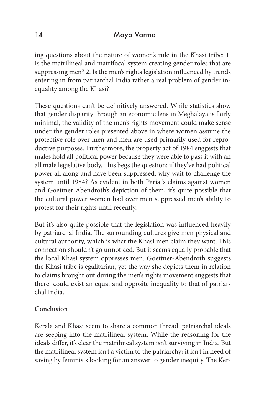ing questions about the nature of women's rule in the Khasi tribe: 1. Is the matrilineal and matrifocal system creating gender roles that are suppressing men? 2. Is the men's rights legislation influenced by trends entering in from patriarchal India rather a real problem of gender inequality among the Khasi?

These questions can't be definitively answered. While statistics show that gender disparity through an economic lens in Meghalaya is fairly minimal, the validity of the men's rights movement could make sense under the gender roles presented above in where women assume the protective role over men and men are used primarily used for reproductive purposes. Furthermore, the property act of 1984 suggests that males hold all political power because they were able to pass it with an all male legislative body. This begs the question: if they've had political power all along and have been suppressed, why wait to challenge the system until 1984? As evident in both Pariat's claims against women and Goettner-Abendroth's depiction of them, it's quite possible that the cultural power women had over men suppressed men's ability to protest for their rights until recently.

But it's also quite possible that the legislation was influenced heavily by patriarchal India. The surrounding cultures give men physical and cultural authority, which is what the Khasi men claim they want. This connection shouldn't go unnoticed. But it seems equally probable that the local Khasi system oppresses men. Goettner-Abendroth suggests the Khasi tribe is egalitarian, yet the way she depicts them in relation to claims brought out during the men's rights movement suggests that there could exist an equal and opposite inequality to that of patriarchal India.

# **Conclusion**

Kerala and Khasi seem to share a common thread: patriarchal ideals are seeping into the matrilineal system. While the reasoning for the ideals differ, it's clear the matrilineal system isn't surviving in India. But the matrilineal system isn't a victim to the patriarchy; it isn't in need of saving by feminists looking for an answer to gender inequity. The Ker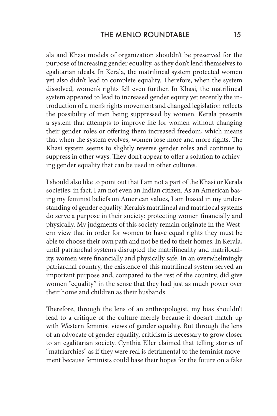ala and Khasi models of organization shouldn't be preserved for the purpose of increasing gender equality, as they don't lend themselves to egalitarian ideals. In Kerala, the matrilineal system protected women yet also didn't lead to complete equality. Therefore, when the system dissolved, women's rights fell even further. In Khasi, the matrilineal system appeared to lead to increased gender equity yet recently the introduction of a men's rights movement and changed legislation reflects the possibility of men being suppressed by women. Kerala presents a system that attempts to improve life for women without changing their gender roles or offering them increased freedom, which means that when the system evolves, women lose more and more rights. The Khasi system seems to slightly reverse gender roles and continue to suppress in other ways. They don't appear to offer a solution to achieving gender equality that can be used in other cultures.

I should also like to point out that I am not a part of the Khasi or Kerala societies; in fact, I am not even an Indian citizen. As an American basing my feminist beliefs on American values, I am biased in my understanding of gender equality. Kerala's matrilineal and matrilocal systems do serve a purpose in their society: protecting women financially and physically. My judgments of this society remain originate in the Western view that in order for women to have equal rights they must be able to choose their own path and not be tied to their homes. In Kerala, until patriarchal systems disrupted the matrilineality and matrilocality, women were financially and physically safe. In an overwhelmingly patriarchal country, the existence of this matrilineal system served an important purpose and, compared to the rest of the country, did give women "equality" in the sense that they had just as much power over their home and children as their husbands.

Therefore, through the lens of an anthropologist, my bias shouldn't lead to a critique of the culture merely because it doesn't match up with Western feminist views of gender equality. But through the lens of an advocate of gender equality, criticism is necessary to grow closer to an egalitarian society. Cynthia Eller claimed that telling stories of "matriarchies" as if they were real is detrimental to the feminist movement because feminists could base their hopes for the future on a fake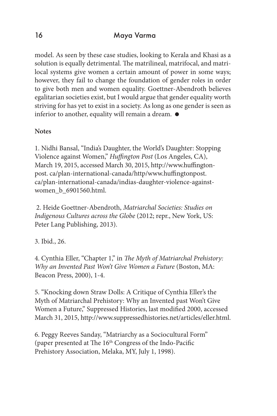model. As seen by these case studies, looking to Kerala and Khasi as a solution is equally detrimental. The matrilineal, matrifocal, and matrilocal systems give women a certain amount of power in some ways; however, they fail to change the foundation of gender roles in order to give both men and women equality. Goettner-Abendroth believes egalitarian societies exist, but I would argue that gender equality worth striving for has yet to exist in a society. As long as one gender is seen as inferior to another, equality will remain a dream.  $\bullet$ 

# **Notes**

1. Nidhi Bansal, "India's Daughter, the World's Daughter: Stopping Violence against Women," *Huffington Post* (Los Angeles, CA), March 19, 2015, accessed March 30, 2015, http://www.huffingtonpost. ca/plan-international-canada/http/www.huffingtonpost. ca/plan-international-canada/indias-daughter-violence-againstwomen\_b\_6901560.html.

 2. Heide Goettner-Abendroth, *Matriarchal Societies: Studies on Indigenous Cultures across the Globe* (2012; repr., New York, US: Peter Lang Publishing, 2013).

# 3. Ibid., 26.

4. Cynthia Eller, "Chapter 1," in *The Myth of Matriarchal Prehistory: Why an Invented Past Won't Give Women a Future* (Boston, MA: Beacon Press, 2000), 1-4.

5. "Knocking down Straw Dolls: A Critique of Cynthia Eller's the Myth of Matriarchal Prehistory: Why an Invented past Won't Give Women a Future," Suppressed Histories, last modified 2000, accessed March 31, 2015, http://www.suppressedhistories.net/articles/eller.html.

6. Peggy Reeves Sanday, "Matriarchy as a Sociocultural Form" (paper presented at The 16th Congress of the Indo-Pacific Prehistory Association, Melaka, MY, July 1, 1998).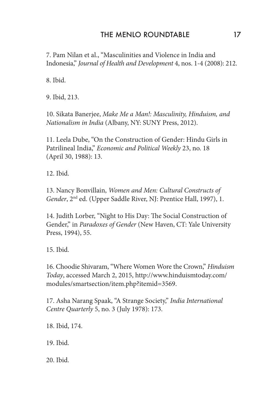## THE MENLO ROUNDTABLE 17

7. Pam Nilan et al., "Masculinities and Violence in India and Indonesia," *Journal of Health and Development* 4, nos. 1-4 (2008): 212.

8. Ibid.

9. Ibid, 213.

10. Sikata Banerjee, *Make Me a Man!: Masculinity, Hinduism, and Nationalism in India* (Albany, NY: SUNY Press, 2012).

11. Leela Dube, "On the Construction of Gender: Hindu Girls in Patrilineal India," *Economic and Political Weekly* 23, no. 18 (April 30, 1988): 13.

12. Ibid.

13. Nancy Bonvillain, *Women and Men: Cultural Constructs of Gender*, 2nd ed. (Upper Saddle River, NJ: Prentice Hall, 1997), 1.

14. Judith Lorber, "Night to His Day: The Social Construction of Gender," in *Paradoxes of Gender* (New Haven, CT: Yale University Press, 1994), 55.

15. Ibid.

16. Choodie Shivaram, "Where Women Wore the Crown," *Hinduism Today*, accessed March 2, 2015, http://www.hinduismtoday.com/ modules/smartsection/item.php?itemid=3569.

17. Asha Narang Spaak, "A Strange Society," *India International Centre Quarterly* 5, no. 3 (July 1978): 173.

18. Ibid, 174.

19. Ibid.

20. Ibid.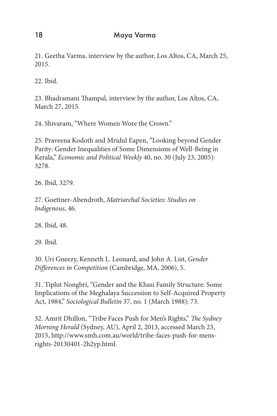21. Geetha Varma, interview by the author, Los Altos, CA, March 25, 2015.

22. Ibid.

23. Bhadramani Thampal, interview by the author, Los Altos, CA, March 27, 2015.

24. Shivaram, "Where Women Wore the Crown."

25. Praveena Kodoth and Mridul Eapen, "Looking beyond Gender Parity: Gender Inequalities of Some Dimensions of Well-Being in Kerala," *Economic and Political Weekly* 40, no. 30 (July 23, 2005): 3278.

26. Ibid, 3279.

27. Goettner-Abendroth, *Matriarchal Societies: Studies on Indigenous*, 46.

28. Ibid, 48.

29. Ibid.

30. Uri Gneezy, Kenneth L. Leonard, and John A. List, *Gender Differences in Competition* (Cambridge, MA, 2006), 5.

31. Tiplut Nongbri, "Gender and the Khasi Family Structure: Some Implications of the Meghalaya Succession to Self-Acquired Property Act, 1984," *Sociological Bulletin* 37, no. 1 (March 1988): 73.

32. Amrit Dhillon, "Tribe Faces Push for Men's Rights," *The Sydney Morning Herald* (Sydney, AU), April 2, 2013, accessed March 23, 2015, http://www.smh.com.au/world/tribe-faces-push-for-mensrights-20130401-2h2yp.html.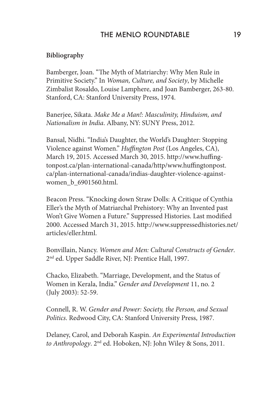#### **Bibliography**

Bamberger, Joan. "The Myth of Matriarchy: Why Men Rule in Primitive Society." In *Woman, Culture, and Society*, by Michelle Zimbalist Rosaldo, Louise Lamphere, and Joan Bamberger, 263-80. Stanford, CA: Stanford University Press, 1974.

Banerjee, Sikata. *Make Me a Man!: Masculinity, Hinduism, and Nationalism in India*. Albany, NY: SUNY Press, 2012.

Bansal, Nidhi. "India's Daughter, the World's Daughter: Stopping Violence against Women." *Huffington Post* (Los Angeles, CA), March 19, 2015. Accessed March 30, 2015. http://www.huffingtonpost.ca/plan-international-canada/http/www.huffingtonpost. ca/plan-international-canada/indias-daughter-violence-againstwomen\_b\_6901560.html.

Beacon Press. "Knocking down Straw Dolls: A Critique of Cynthia Eller's the Myth of Matriarchal Prehistory: Why an Invented past Won't Give Women a Future." Suppressed Histories. Last modified 2000. Accessed March 31, 2015. http://www.suppressedhistories.net/ articles/eller.html.

Bonvillain, Nancy. *Women and Men: Cultural Constructs of Gender*. 2nd ed. Upper Saddle River, NJ: Prentice Hall, 1997.

Chacko, Elizabeth. "Marriage, Development, and the Status of Women in Kerala, India." *Gender and Development* 11, no. 2 (July 2003): 52-59.

Connell, R. W. *Gender and Power: Society, the Person, and Sexual Politics*. Redwood City, CA: Stanford University Press, 1987.

Delaney, Carol, and Deborah Kaspin. *An Experimental Introduction to Anthropology*. 2nd ed. Hoboken, NJ: John Wiley & Sons, 2011.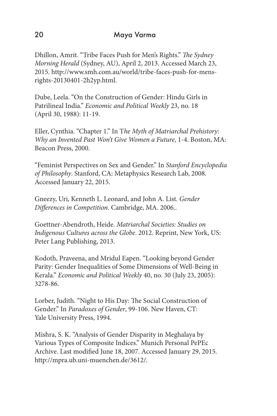Dhillon, Amrit. "Tribe Faces Push for Men's Rights." *The Sydney Morning Herald* (Sydney, AU), April 2, 2013. Accessed March 23, 2015. http://www.smh.com.au/world/tribe-faces-push-for-mensrights-20130401-2h2yp.html.

Dube, Leela. "On the Construction of Gender: Hindu Girls in Patrilineal India." *Economic and Political Weekly* 23, no. 18 (April 30, 1988): 11-19.

Eller, Cynthia. "Chapter 1." In T*he Myth of Matriarchal Prehistory: Why an Invented Past Won't Give Women a Future*, 1-4. Boston, MA: Beacon Press, 2000.

"Feminist Perspectives on Sex and Gender." In *Stanford Encyclopedia of Philosophy*. Stanford, CA: Metaphysics Research Lab, 2008. Accessed January 22, 2015.

Gneezy, Uri, Kenneth L. Leonard, and John A. List. *Gender Differences in Competition*. Cambridge, MA. 2006..

Goettner-Abendroth, Heide. *Matriarchal Societies: Studies on Indigenous Cultures across the Globe*. 2012. Reprint, New York, US: Peter Lang Publishing, 2013.

Kodoth, Praveena, and Mridul Eapen. "Looking beyond Gender Parity: Gender Inequalities of Some Dimensions of Well-Being in Kerala." *Economic and Political Weekly* 40, no. 30 (July 23, 2005): 3278-86.

Lorber, Judith. "Night to His Day: The Social Construction of Gender." In *Paradoxes of Gender*, 99-106. New Haven, CT: Yale University Press, 1994.

Mishra, S. K. "Analysis of Gender Disparity in Meghalaya by Various Types of Composite Indices." Munich Personal PePEc Archive. Last modified June 18, 2007. Accessed January 29, 2015. http://mpra.ub.uni-muenchen.de/3612/.